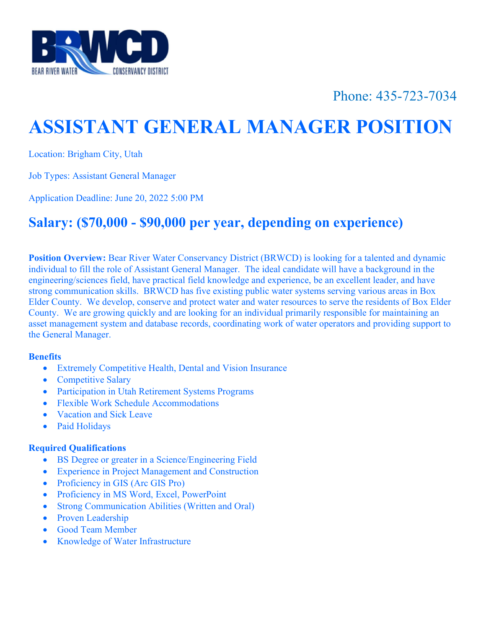

## Phone: 435-723-7034

# ASSISTANT GENERAL MANAGER POSITION

Location: Brigham City, Utah

Job Types: Assistant General Manager

Application Deadline: June 20, 2022 5:00 PM

### Salary: (\$70,000 - \$90,000 per year, depending on experience)

Position Overview: Bear River Water Conservancy District (BRWCD) is looking for a talented and dynamic individual to fill the role of Assistant General Manager. The ideal candidate will have a background in the engineering/sciences field, have practical field knowledge and experience, be an excellent leader, and have strong communication skills. BRWCD has five existing public water systems serving various areas in Box Elder County. We develop, conserve and protect water and water resources to serve the residents of Box Elder County. We are growing quickly and are looking for an individual primarily responsible for maintaining an asset management system and database records, coordinating work of water operators and providing support to the General Manager.

#### **Benefits**

- Extremely Competitive Health, Dental and Vision Insurance
- Competitive Salary
- Participation in Utah Retirement Systems Programs
- Flexible Work Schedule Accommodations
- Vacation and Sick Leave
- Paid Holidays

#### Required Qualifications

- BS Degree or greater in a Science/Engineering Field
- Experience in Project Management and Construction
- Proficiency in GIS (Arc GIS Pro)
- Proficiency in MS Word, Excel, PowerPoint
- Strong Communication Abilities (Written and Oral)
- Proven Leadership
- Good Team Member
- Knowledge of Water Infrastructure